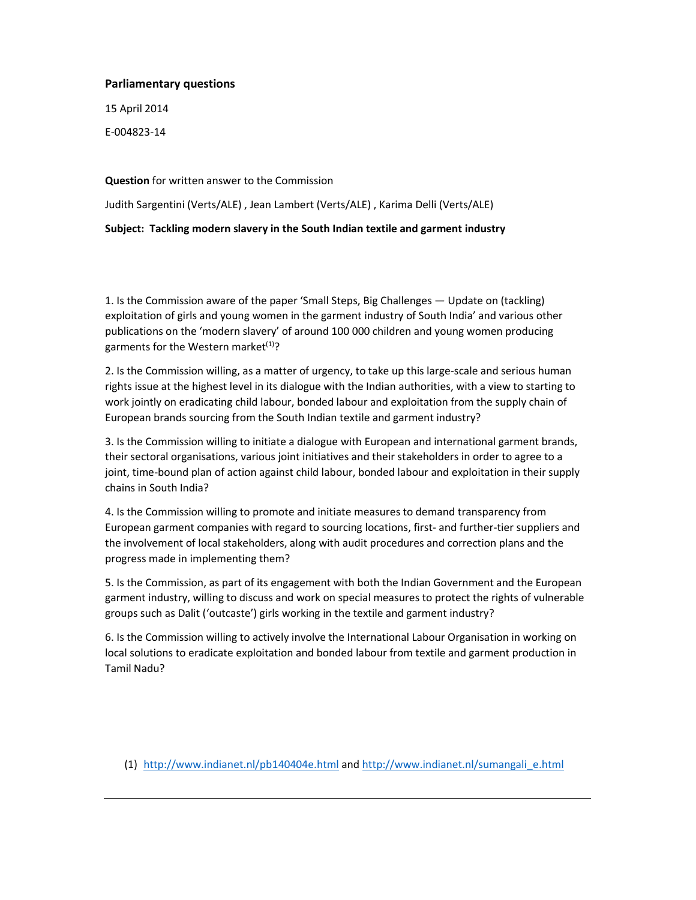## **Parliamentary questions**

15 April 2014

E-004823-14

**Question** for written answer to the Commission

Judith Sargentini (Verts/ALE) , Jean Lambert (Verts/ALE) , Karima Delli (Verts/ALE)

**Subject: Tackling modern slavery in the South Indian textile and garment industry** 

1. Is the Commission aware of the paper 'Small Steps, Big Challenges — Update on (tackling) exploitation of girls and young women in the garment industry of South India' and various other publications on the 'modern slavery' of around 100 000 children and young women producing garments for the Western market $(1)$ ?

2. Is the Commission willing, as a matter of urgency, to take up this large-scale and serious human rights issue at the highest level in its dialogue with the Indian authorities, with a view to starting to work jointly on eradicating child labour, bonded labour and exploitation from the supply chain of European brands sourcing from the South Indian textile and garment industry?

3. Is the Commission willing to initiate a dialogue with European and international garment brands, their sectoral organisations, various joint initiatives and their stakeholders in order to agree to a joint, time-bound plan of action against child labour, bonded labour and exploitation in their supply chains in South India?

4. Is the Commission willing to promote and initiate measures to demand transparency from European garment companies with regard to sourcing locations, first- and further-tier suppliers and the involvement of local stakeholders, along with audit procedures and correction plans and the progress made in implementing them?

5. Is the Commission, as part of its engagement with both the Indian Government and the European garment industry, willing to discuss and work on special measures to protect the rights of vulnerable groups such as Dalit ('outcaste') girls working in the textile and garment industry?

6. Is the Commission willing to actively involve the International Labour Organisation in working on local solutions to eradicate exploitation and bonded labour from textile and garment production in Tamil Nadu?

(1) http://www.indianet.nl/pb140404e.html and http://www.indianet.nl/sumangali\_e.html